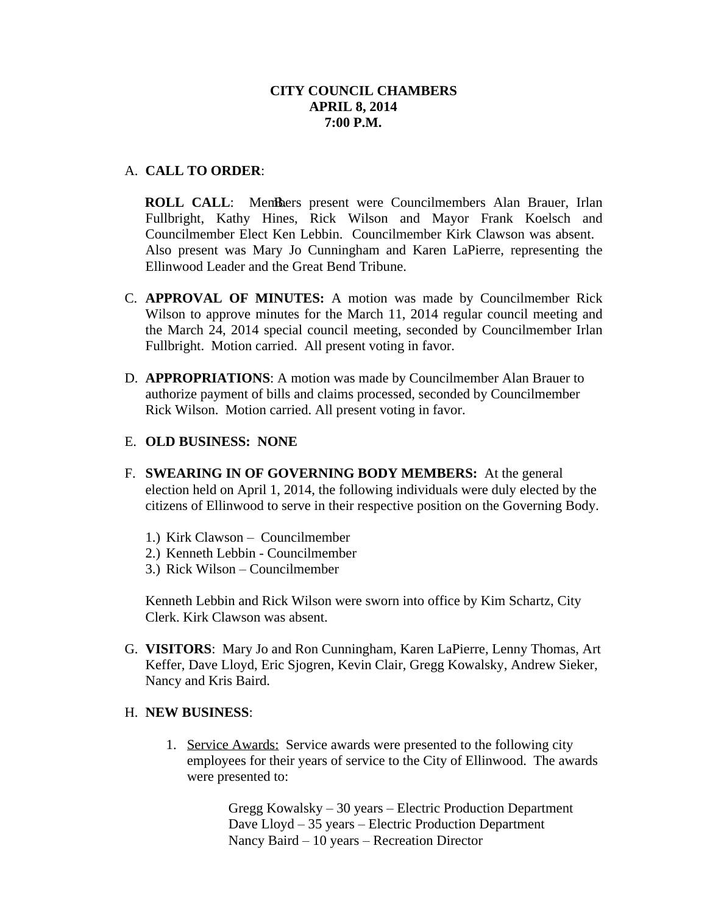# A. **CALL TO ORDER**:

**ROLL CALL:** Members present were Councilmembers Alan Brauer, Irlan Fullbright, Kathy Hines, Rick Wilson and Mayor Frank Koelsch and Councilmember Elect Ken Lebbin. Councilmember Kirk Clawson was absent. Also present was Mary Jo Cunningham and Karen LaPierre, representing the Ellinwood Leader and the Great Bend Tribune.

- C. **APPROVAL OF MINUTES:** A motion was made by Councilmember Rick Wilson to approve minutes for the March 11, 2014 regular council meeting and the March 24, 2014 special council meeting, seconded by Councilmember Irlan Fullbright. Motion carried. All present voting in favor.
- D. **APPROPRIATIONS**: A motion was made by Councilmember Alan Brauer to authorize payment of bills and claims processed, seconded by Councilmember Rick Wilson. Motion carried. All present voting in favor.

# E. **OLD BUSINESS: NONE**

- F. **SWEARING IN OF GOVERNING BODY MEMBERS:** At the general election held on April 1, 2014, the following individuals were duly elected by the citizens of Ellinwood to serve in their respective position on the Governing Body.
	- 1.) Kirk Clawson Councilmember
	- 2.) Kenneth Lebbin Councilmember
	- 3.) Rick Wilson Councilmember

Kenneth Lebbin and Rick Wilson were sworn into office by Kim Schartz, City Clerk. Kirk Clawson was absent.

G. **VISITORS**: Mary Jo and Ron Cunningham, Karen LaPierre, Lenny Thomas, Art Keffer, Dave Lloyd, Eric Sjogren, Kevin Clair, Gregg Kowalsky, Andrew Sieker, Nancy and Kris Baird.

# H. **NEW BUSINESS**:

1. Service Awards: Service awards were presented to the following city employees for their years of service to the City of Ellinwood. The awards were presented to:

> Gregg Kowalsky – 30 years – Electric Production Department Dave Lloyd – 35 years – Electric Production Department Nancy Baird – 10 years – Recreation Director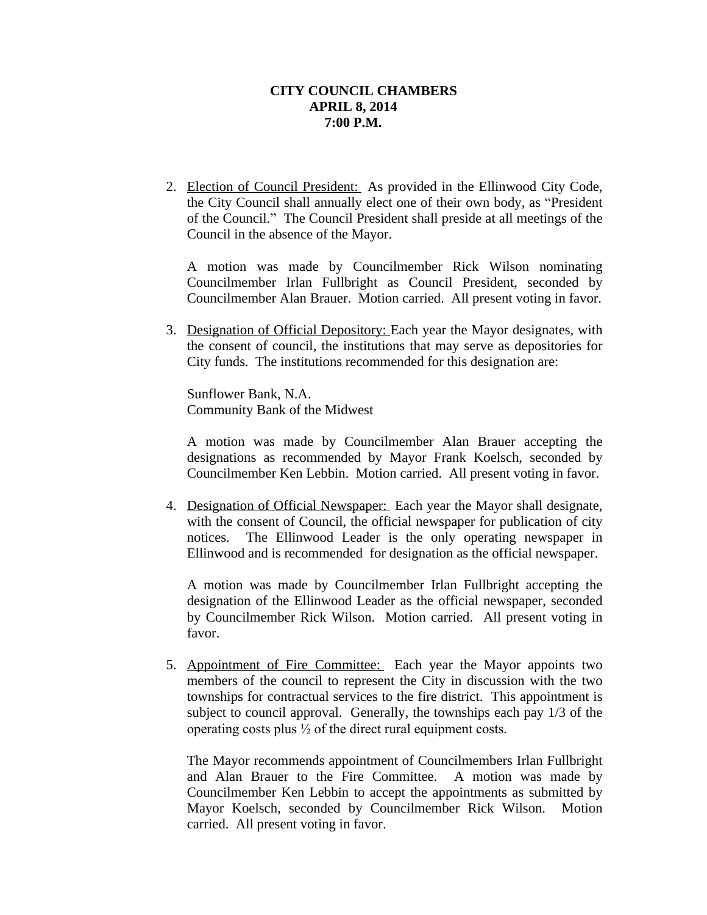2. Election of Council President: As provided in the Ellinwood City Code, the City Council shall annually elect one of their own body, as "President of the Council." The Council President shall preside at all meetings of the Council in the absence of the Mayor.

A motion was made by Councilmember Rick Wilson nominating Councilmember Irlan Fullbright as Council President, seconded by Councilmember Alan Brauer. Motion carried. All present voting in favor.

3. Designation of Official Depository: Each year the Mayor designates, with the consent of council, the institutions that may serve as depositories for City funds. The institutions recommended for this designation are:

Sunflower Bank, N.A. Community Bank of the Midwest

A motion was made by Councilmember Alan Brauer accepting the designations as recommended by Mayor Frank Koelsch, seconded by Councilmember Ken Lebbin. Motion carried. All present voting in favor.

4. Designation of Official Newspaper: Each year the Mayor shall designate, with the consent of Council, the official newspaper for publication of city notices. The Ellinwood Leader is the only operating newspaper in Ellinwood and is recommended for designation as the official newspaper.

A motion was made by Councilmember Irlan Fullbright accepting the designation of the Ellinwood Leader as the official newspaper, seconded by Councilmember Rick Wilson. Motion carried. All present voting in favor.

5. Appointment of Fire Committee: Each year the Mayor appoints two members of the council to represent the City in discussion with the two townships for contractual services to the fire district. This appointment is subject to council approval. Generally, the townships each pay 1/3 of the operating costs plus ½ of the direct rural equipment costs.

The Mayor recommends appointment of Councilmembers Irlan Fullbright and Alan Brauer to the Fire Committee. A motion was made by Councilmember Ken Lebbin to accept the appointments as submitted by Mayor Koelsch, seconded by Councilmember Rick Wilson. Motion carried. All present voting in favor.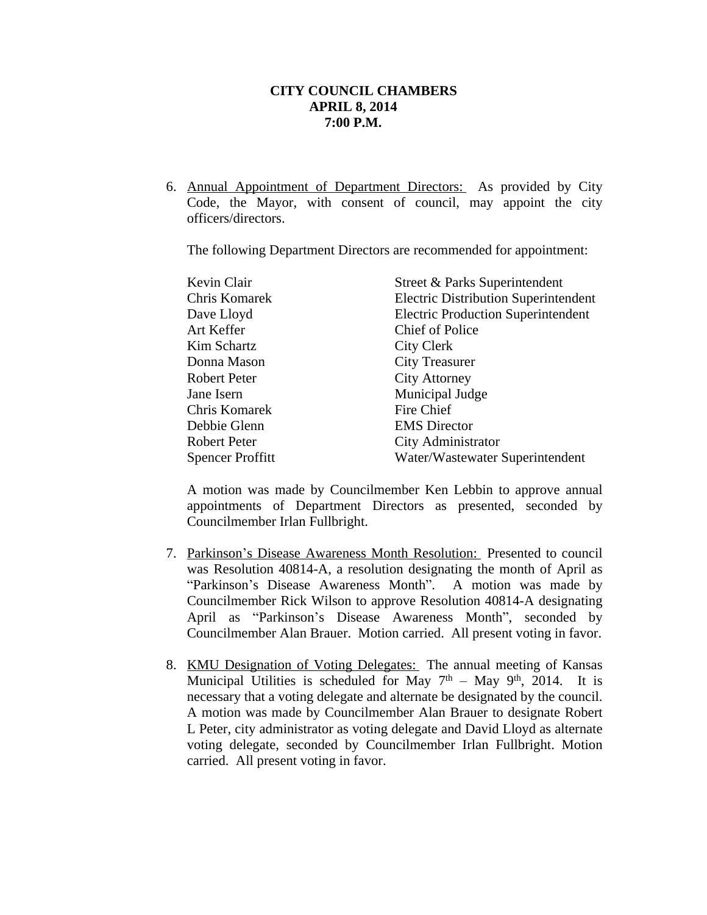6. Annual Appointment of Department Directors: As provided by City Code, the Mayor, with consent of council, may appoint the city officers/directors.

The following Department Directors are recommended for appointment:

| Kevin Clair             | Street & Parks Superintendent               |
|-------------------------|---------------------------------------------|
| Chris Komarek           | <b>Electric Distribution Superintendent</b> |
| Dave Lloyd              | <b>Electric Production Superintendent</b>   |
| Art Keffer              | Chief of Police                             |
| Kim Schartz             | City Clerk                                  |
| Donna Mason             | <b>City Treasurer</b>                       |
| Robert Peter            | <b>City Attorney</b>                        |
| Jane Isern              | Municipal Judge                             |
| Chris Komarek           | Fire Chief                                  |
| Debbie Glenn            | <b>EMS</b> Director                         |
| <b>Robert Peter</b>     | City Administrator                          |
| <b>Spencer Proffitt</b> | Water/Wastewater Superintendent             |

A motion was made by Councilmember Ken Lebbin to approve annual appointments of Department Directors as presented, seconded by Councilmember Irlan Fullbright.

- 7. Parkinson's Disease Awareness Month Resolution: Presented to council was Resolution 40814-A, a resolution designating the month of April as "Parkinson's Disease Awareness Month". A motion was made by Councilmember Rick Wilson to approve Resolution 40814-A designating April as "Parkinson's Disease Awareness Month", seconded by Councilmember Alan Brauer. Motion carried. All present voting in favor.
- 8. KMU Designation of Voting Delegates: The annual meeting of Kansas Municipal Utilities is scheduled for May  $7<sup>th</sup> - May 9<sup>th</sup>$ , 2014. It is necessary that a voting delegate and alternate be designated by the council. A motion was made by Councilmember Alan Brauer to designate Robert L Peter, city administrator as voting delegate and David Lloyd as alternate voting delegate, seconded by Councilmember Irlan Fullbright. Motion carried. All present voting in favor.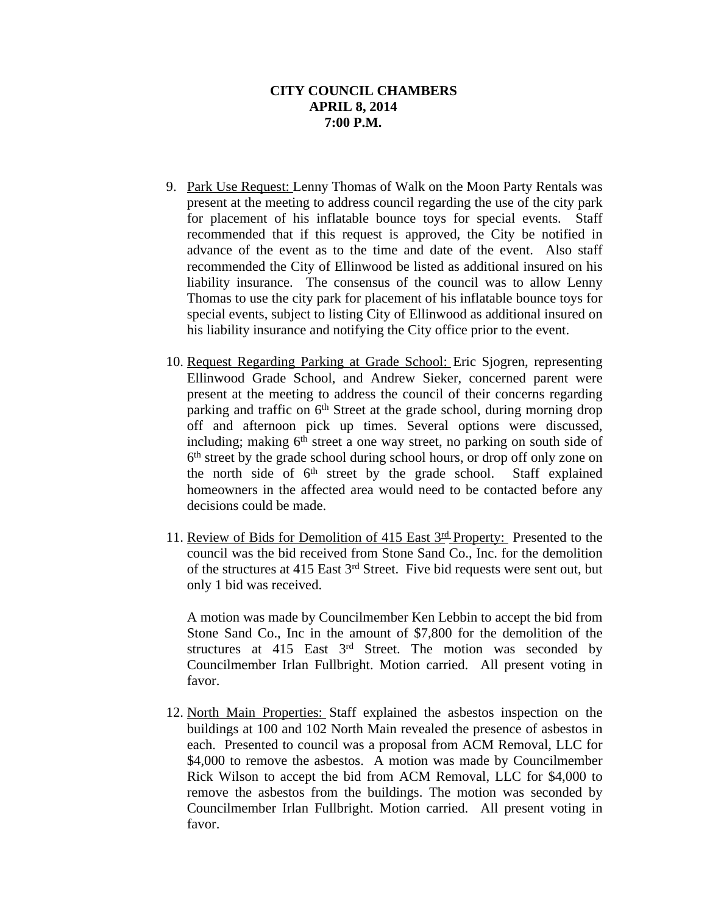- 9. Park Use Request: Lenny Thomas of Walk on the Moon Party Rentals was present at the meeting to address council regarding the use of the city park for placement of his inflatable bounce toys for special events. Staff recommended that if this request is approved, the City be notified in advance of the event as to the time and date of the event. Also staff recommended the City of Ellinwood be listed as additional insured on his liability insurance. The consensus of the council was to allow Lenny Thomas to use the city park for placement of his inflatable bounce toys for special events, subject to listing City of Ellinwood as additional insured on his liability insurance and notifying the City office prior to the event.
- 10. Request Regarding Parking at Grade School: Eric Sjogren, representing Ellinwood Grade School, and Andrew Sieker, concerned parent were present at the meeting to address the council of their concerns regarding parking and traffic on 6<sup>th</sup> Street at the grade school, during morning drop off and afternoon pick up times. Several options were discussed, including; making 6<sup>th</sup> street a one way street, no parking on south side of 6 th street by the grade school during school hours, or drop off only zone on the north side of 6<sup>th</sup> street by the grade school. Staff explained homeowners in the affected area would need to be contacted before any decisions could be made.
- 11. Review of Bids for Demolition of 415 East 3<sup>rd</sup> Property: Presented to the council was the bid received from Stone Sand Co., Inc. for the demolition of the structures at 415 East 3<sup>rd</sup> Street. Five bid requests were sent out, but only 1 bid was received.

A motion was made by Councilmember Ken Lebbin to accept the bid from Stone Sand Co., Inc in the amount of \$7,800 for the demolition of the structures at 415 East 3<sup>rd</sup> Street. The motion was seconded by Councilmember Irlan Fullbright. Motion carried. All present voting in favor.

12. North Main Properties: Staff explained the asbestos inspection on the buildings at 100 and 102 North Main revealed the presence of asbestos in each. Presented to council was a proposal from ACM Removal, LLC for \$4,000 to remove the asbestos. A motion was made by Councilmember Rick Wilson to accept the bid from ACM Removal, LLC for \$4,000 to remove the asbestos from the buildings. The motion was seconded by Councilmember Irlan Fullbright. Motion carried. All present voting in favor.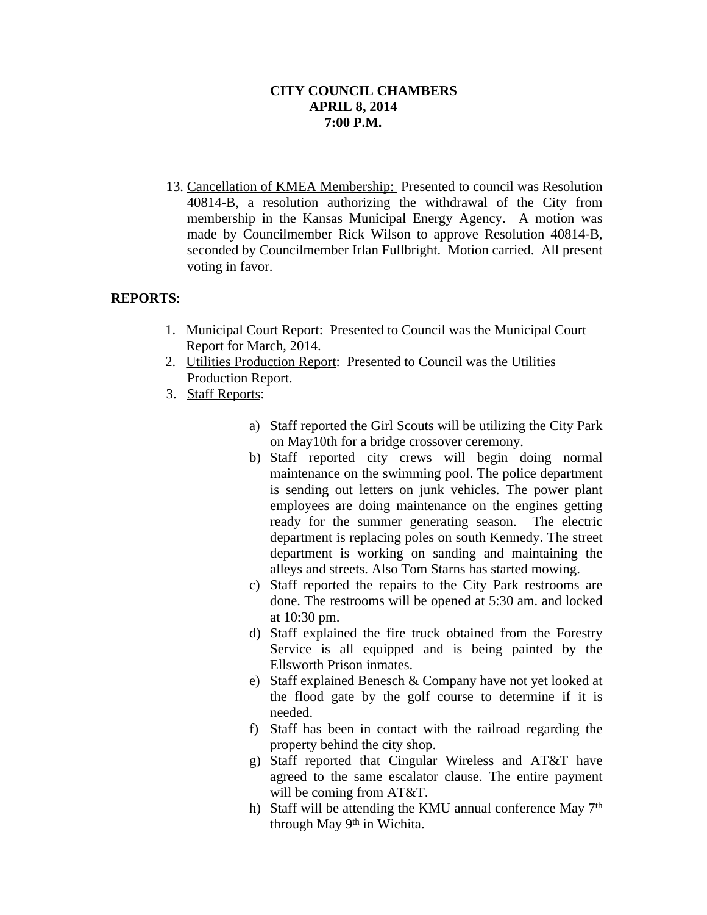13. Cancellation of KMEA Membership: Presented to council was Resolution 40814-B, a resolution authorizing the withdrawal of the City from membership in the Kansas Municipal Energy Agency. A motion was made by Councilmember Rick Wilson to approve Resolution 40814-B, seconded by Councilmember Irlan Fullbright. Motion carried. All present voting in favor.

# **REPORTS**:

- 1. Municipal Court Report: Presented to Council was the Municipal Court Report for March, 2014.
- 2. Utilities Production Report: Presented to Council was the Utilities Production Report.
- 3. Staff Reports:
	- a) Staff reported the Girl Scouts will be utilizing the City Park on May10th for a bridge crossover ceremony.
	- b) Staff reported city crews will begin doing normal maintenance on the swimming pool. The police department is sending out letters on junk vehicles. The power plant employees are doing maintenance on the engines getting ready for the summer generating season. The electric department is replacing poles on south Kennedy. The street department is working on sanding and maintaining the alleys and streets. Also Tom Starns has started mowing.
	- c) Staff reported the repairs to the City Park restrooms are done. The restrooms will be opened at 5:30 am. and locked at 10:30 pm.
	- d) Staff explained the fire truck obtained from the Forestry Service is all equipped and is being painted by the Ellsworth Prison inmates.
	- e) Staff explained Benesch & Company have not yet looked at the flood gate by the golf course to determine if it is needed.
	- f) Staff has been in contact with the railroad regarding the property behind the city shop.
	- g) Staff reported that Cingular Wireless and AT&T have agreed to the same escalator clause. The entire payment will be coming from AT&T.
	- h) Staff will be attending the KMU annual conference May  $7<sup>th</sup>$ through May 9<sup>th</sup> in Wichita.